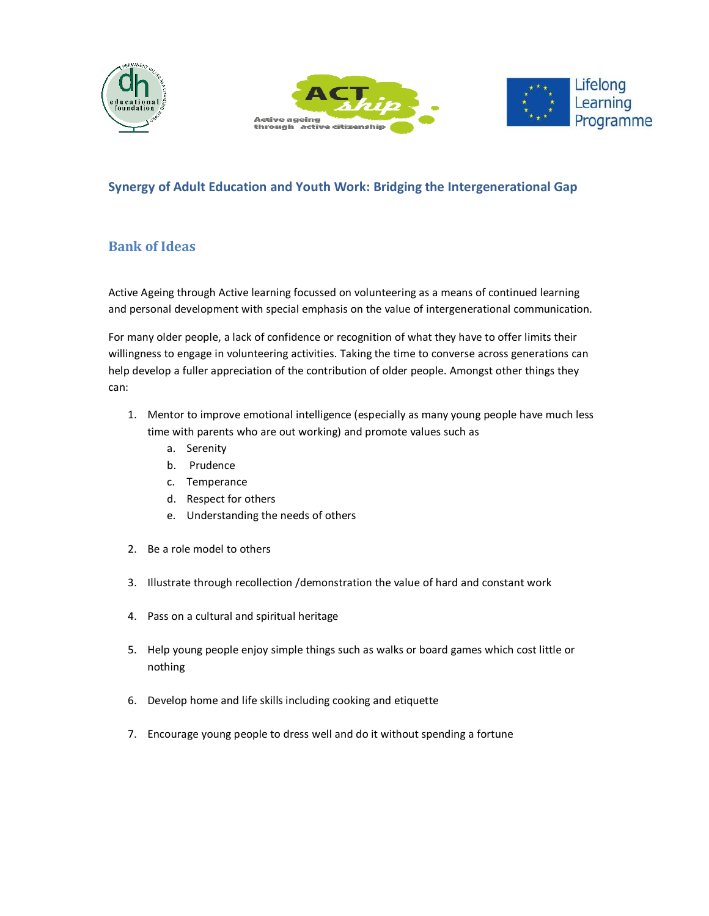





## **Synergy of Adult Education and Youth Work: Bridging the Intergenerational Gap**

## **Bank of Ideas**

Active Ageing through Active learning focussed on volunteering as a means of continued learning and personal development with special emphasis on the value of intergenerational communication.

For many older people, a lack of confidence or recognition of what they have to offer limits their willingness to engage in volunteering activities. Taking the time to converse across generations can help develop a fuller appreciation of the contribution of older people. Amongst other things they can:

- 1. Mentor to improve emotional intelligence (especially as many young people have much less time with parents who are out working) and promote values such as
	- a. Serenity
	- b. Prudence
	- c. Temperance
	- d. Respect for others
	- e. Understanding the needs of others
- 2. Be a role model to others
- 3. Illustrate through recollection /demonstration the value of hard and constant work
- 4. Pass on a cultural and spiritual heritage
- 5. Help young people enjoy simple things such as walks or board games which cost little or nothing
- 6. Develop home and life skills including cooking and etiquette
- 7. Encourage young people to dress well and do it without spending a fortune